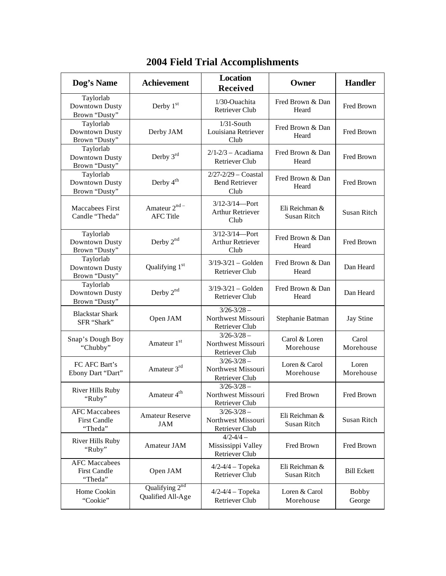| Dog's Name                                             | <b>Achievement</b>                    | <b>Location</b><br><b>Received</b>                       | Owner                                | <b>Handler</b>         |
|--------------------------------------------------------|---------------------------------------|----------------------------------------------------------|--------------------------------------|------------------------|
| Taylorlab<br>Downtown Dusty<br>Brown "Dusty"           | Derby $1st$                           | 1/30-Ouachita<br><b>Retriever Club</b>                   | Fred Brown & Dan<br>Heard            | Fred Brown             |
| Taylorlab<br>Downtown Dusty<br>Brown "Dusty"           | Derby JAM                             | $1/31$ -South<br>Louisiana Retriever<br>Club             | Fred Brown & Dan<br>Heard            | Fred Brown             |
| Taylorlab<br>Downtown Dusty<br>Brown "Dusty"           | Derby 3rd                             | $2/1 - 2/3$ - Acadiama<br><b>Retriever Club</b>          | Fred Brown & Dan<br>Heard            | Fred Brown             |
| Taylorlab<br>Downtown Dusty<br>Brown "Dusty"           | Derby $4^{\text{th}}$                 | $2/27 - 2/29 -$ Coastal<br><b>Bend Retriever</b><br>Club | Fred Brown & Dan<br>Heard            | Fred Brown             |
| Maccabees First<br>Candle "Theda"                      | Amateur 2nd -<br><b>AFC Title</b>     | $3/12 - 3/14$ - Port<br><b>Arthur Retriever</b><br>Club  | Eli Reichman &<br><b>Susan Ritch</b> | Susan Ritch            |
| Taylorlab<br>Downtown Dusty<br>Brown "Dusty"           | Derby $2^{nd}$                        | $3/12 - 3/14$ - Port<br><b>Arthur Retriever</b><br>Club  | Fred Brown & Dan<br>Heard            | Fred Brown             |
| Taylorlab<br>Downtown Dusty<br>Brown "Dusty"           | Qualifying 1 <sup>st</sup>            | $3/19 - 3/21 -$ Golden<br><b>Retriever Club</b>          | Fred Brown & Dan<br>Heard            | Dan Heard              |
| Taylorlab<br>Downtown Dusty<br>Brown "Dusty"           | Derby 2 <sup>nd</sup>                 | $3/19 - 3/21 -$ Golden<br><b>Retriever Club</b>          | Fred Brown & Dan<br>Heard            | Dan Heard              |
| <b>Blackstar Shark</b><br>SFR "Shark"                  | Open JAM                              | $3/26 - 3/28$ –<br>Northwest Missouri<br>Retriever Club  | Stephanie Batman                     | <b>Jay Stine</b>       |
| Snap's Dough Boy<br>"Chubby"                           | Amateur 1 <sup>st</sup>               | $3/26 - 3/28$ –<br>Northwest Missouri<br>Retriever Club  | Carol & Loren<br>Morehouse           | Carol<br>Morehouse     |
| FC AFC Bart's<br>Ebony Dart "Dart"                     | Amateur 3rd                           | $3/26 - 3/28$ –<br>Northwest Missouri<br>Retriever Club  | Loren & Carol<br>Morehouse           | Loren<br>Morehouse     |
| <b>River Hills Ruby</b><br>"Ruby"                      | Amateur 4 <sup>th</sup>               | $3/26 - 3/28$ –<br>Northwest Missouri<br>Retriever Club  | Fred Brown                           | Fred Brown             |
| <b>AFC</b> Maccabees<br><b>First Candle</b><br>"Theda" | <b>Amateur Reserve</b><br><b>JAM</b>  | $3/26 - 3/28$ –<br>Northwest Missouri<br>Retriever Club  | Eli Reichman &<br>Susan Ritch        | Susan Ritch            |
| <b>River Hills Ruby</b><br>"Ruby"                      | Amateur JAM                           | $4/2 - 4/4 -$<br>Mississippi Valley<br>Retriever Club    | Fred Brown                           | Fred Brown             |
| <b>AFC</b> Maccabees<br><b>First Candle</b><br>"Theda" | Open JAM                              | $4/2 - 4/4 - Topeka$<br>Retriever Club                   | Eli Reichman &<br>Susan Ritch        | <b>Bill Eckett</b>     |
| Home Cookin<br>"Cookie"                                | Qualifying $2nd$<br>Qualified All-Age | $4/2 - 4/4 - Topeka$<br>Retriever Club                   | Loren & Carol<br>Morehouse           | <b>Bobby</b><br>George |

## **2004 Field Trial Accomplishments**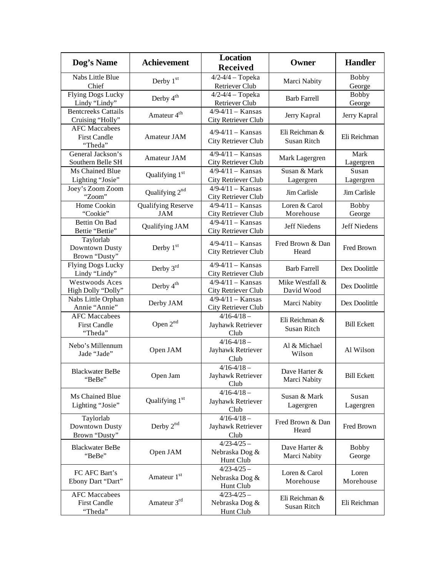| Dog's Name                                             | <b>Achievement</b>                      | <b>Location</b><br><b>Received</b>                  | Owner                                | <b>Handler</b>         |
|--------------------------------------------------------|-----------------------------------------|-----------------------------------------------------|--------------------------------------|------------------------|
| Nabs Little Blue<br>Chief                              | Derby 1st                               | $4/2 - 4/4 - Topeka$<br>Retriever Club              | Marci Nabity                         | <b>Bobby</b><br>George |
| Flying Dogs Lucky<br>Lindy "Lindy"                     | Derby 4 <sup>th</sup>                   | $4/2 - 4/4 - Topeka$<br><b>Retriever Club</b>       | <b>Barb Farrell</b>                  | <b>Bobby</b><br>George |
| <b>Bentcreeks Cattails</b><br>Cruising "Holly"         | Amateur 4 <sup>th</sup>                 | $4/9 - 4/11 -$ Kansas<br>City Retriever Club        | Jerry Kapral                         | Jerry Kapral           |
| <b>AFC Maccabees</b><br><b>First Candle</b><br>"Theda" | Amateur JAM                             | $4/9 - 4/11 -$ Kansas<br>City Retriever Club        | Eli Reichman &<br><b>Susan Ritch</b> | Eli Reichman           |
| General Jackson's<br>Southern Belle SH                 | Amateur JAM                             | $4/9 - 4/11 -$ Kansas<br>City Retriever Club        | Mark Lagergren                       | Mark<br>Lagergren      |
| Ms Chained Blue<br>Lighting "Josie"                    | Qualifying 1 <sup>st</sup>              | $4/9 - 4/11 -$ Kansas<br>City Retriever Club        | Susan & Mark<br>Lagergren            | Susan<br>Lagergren     |
| Joey's Zoom Zoom<br>"Zoom"                             | Qualifying 2 <sup>nd</sup>              | $4/9 - 4/11 -$ Kansas<br>City Retriever Club        | Jim Carlisle                         | Jim Carlisle           |
| Home Cookin<br>"Cookie"                                | <b>Qualifying Reserve</b><br><b>JAM</b> | $4/9 - 4/11 -$ Kansas<br>City Retriever Club        | Loren & Carol<br>Morehouse           | <b>Bobby</b><br>George |
| Bettin On Bad<br>Bettie "Bettie"                       | Qualifying JAM                          | $4/9 - 4/11 -$ Kansas<br><b>City Retriever Club</b> | Jeff Niedens                         | Jeff Niedens           |
| Taylorlab<br>Downtown Dusty<br>Brown "Dusty"           | Derby $1st$                             | $4/9 - 4/11 -$ Kansas<br>City Retriever Club        | Fred Brown & Dan<br>Heard            | Fred Brown             |
| <b>Flying Dogs Lucky</b><br>Lindy "Lindy"              | Derby $3rd$                             | $4/9 - 4/11 -$ Kansas<br>City Retriever Club        | <b>Barb Farrell</b>                  | Dex Doolittle          |
| Westwoods Aces<br>High Dolly "Dolly"                   | Derby 4 <sup>th</sup>                   | $4/9 - 4/11 -$ Kansas<br>City Retriever Club        | Mike Westfall &<br>David Wood        | Dex Doolittle          |
| Nabs Little Orphan<br>Annie "Annie"                    | Derby JAM                               | $4/9 - 4/11 -$ Kansas<br>City Retriever Club        | Marci Nabity                         | Dex Doolittle          |
| <b>AFC</b> Maccabees<br><b>First Candle</b><br>"Theda" | Open $2^{nd}$                           | $4/16 - 4/18 -$<br>Jayhawk Retriever<br>Club        | Eli Reichman &<br>Susan Ritch        | <b>Bill Eckett</b>     |
| Nebo's Millennum<br>Jade "Jade"                        | Open JAM                                | $4/16 - 4/18 -$<br>Jayhawk Retriever<br>Club        | Al & Michael<br>Wilson               | Al Wilson              |
| <b>Blackwater BeBe</b><br>'BeBe'                       | Open Jam                                | $4/16 - 4/18 -$<br>Jayhawk Retriever<br>Club        | Dave Harter &<br>Marci Nabity        | <b>Bill Eckett</b>     |
| Ms Chained Blue<br>Lighting "Josie"                    | Qualifying 1 <sup>st</sup>              | $4/16 - 4/18 -$<br>Jayhawk Retriever<br>Club        | Susan & Mark<br>Lagergren            | Susan<br>Lagergren     |
| Taylorlab<br>Downtown Dusty<br>Brown "Dusty"           | Derby 2 <sup>nd</sup>                   | $4/16 - 4/18 -$<br>Jayhawk Retriever<br>Club        | Fred Brown & Dan<br>Heard            | Fred Brown             |
| <b>Blackwater BeBe</b><br>"BeBe"                       | Open JAM                                | $4/23 - 4/25 -$<br>Nebraska Dog &<br>Hunt Club      | Dave Harter &<br>Marci Nabity        | <b>Bobby</b><br>George |
| FC AFC Bart's<br>Ebony Dart "Dart"                     | Amateur 1st                             | $4/23 - 4/25 -$<br>Nebraska Dog &<br>Hunt Club      | Loren & Carol<br>Morehouse           | Loren<br>Morehouse     |
| <b>AFC</b> Maccabees<br><b>First Candle</b><br>"Theda" | Amateur 3rd                             | $4/23 - 4/25 -$<br>Nebraska Dog &<br>Hunt Club      | Eli Reichman &<br>Susan Ritch        | Eli Reichman           |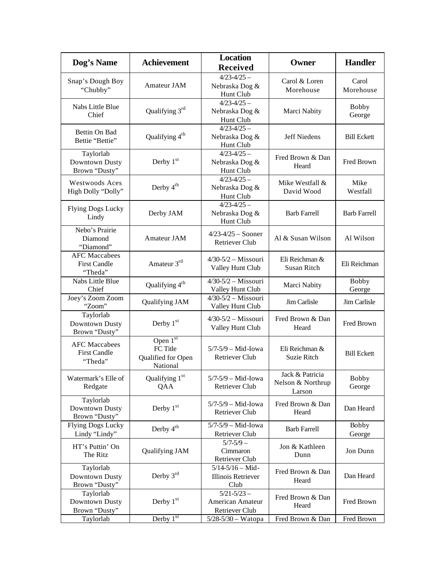| Dog's Name                                             | <b>Achievement</b>                                       | <b>Location</b><br><b>Received</b>                         | Owner                                          | <b>Handler</b>         |
|--------------------------------------------------------|----------------------------------------------------------|------------------------------------------------------------|------------------------------------------------|------------------------|
| Snap's Dough Boy<br>"Chubby"                           | Amateur JAM                                              | $4/23 - 4/25 -$<br>Nebraska Dog &<br>Hunt Club             | Carol & Loren<br>Morehouse                     | Carol<br>Morehouse     |
| Nabs Little Blue<br>Chief                              | Qualifying 3 <sup>rd</sup>                               | $4/23 - 4/25 -$<br>Nebraska Dog &<br>Hunt Club             | Marci Nabity                                   | <b>Bobby</b><br>George |
| Bettin On Bad<br>Bettie "Bettie"                       | Qualifying 4 <sup>th</sup>                               | $4/23 - 4/25 -$<br>Nebraska Dog &<br>Hunt Club             | Jeff Niedens                                   | <b>Bill Eckett</b>     |
| Taylorlab<br>Downtown Dusty<br>Brown "Dusty"           | Derby $1st$                                              | $4/23 - 4/25 -$<br>Nebraska Dog &<br>Hunt Club             | Fred Brown & Dan<br>Heard                      | Fred Brown             |
| Westwoods Aces<br>High Dolly "Dolly"                   | Derby 4 <sup>th</sup>                                    | $4/23 - 4/25 -$<br>Nebraska Dog &<br>Hunt Club             | Mike Westfall &<br>David Wood                  | Mike<br>Westfall       |
| <b>Flying Dogs Lucky</b><br>Lindy                      | Derby JAM                                                | $4/23 - 4/25 -$<br>Nebraska Dog &<br>Hunt Club             | <b>Barb Farrell</b>                            | <b>Barb Farrell</b>    |
| Nebo's Prairie<br>Diamond<br>"Diamond"                 | Amateur JAM                                              | $4/23 - 4/25 -$ Sooner<br><b>Retriever Club</b>            | Al & Susan Wilson                              | Al Wilson              |
| <b>AFC</b> Maccabees<br><b>First Candle</b><br>"Theda" | Amateur 3rd                                              | $4/30-5/2$ – Missouri<br>Valley Hunt Club                  | Eli Reichman &<br>Susan Ritch                  | Eli Reichman           |
| Nabs Little Blue<br>Chief                              | Qualifying 4 <sup>th</sup>                               | $4/30-5/2$ - Missouri<br>Valley Hunt Club                  | Marci Nabity                                   | <b>Bobby</b><br>George |
| Joey's Zoom Zoom<br>"Zoom"                             | Qualifying JAM                                           | $4/30-5/2$ - Missouri<br>Valley Hunt Club                  | Jim Carlisle                                   | Jim Carlisle           |
| Taylorlab<br>Downtown Dusty<br>Brown "Dusty"           | Derby $1st$                                              | $4/30-5/2$ – Missouri<br>Valley Hunt Club                  | Fred Brown & Dan<br>Heard                      | Fred Brown             |
| <b>AFC Maccabees</b><br><b>First Candle</b><br>"Theda" | Open $1st$<br>FC Title<br>Qualified for Open<br>National | $5/7-5/9$ - Mid-Iowa<br><b>Retriever Club</b>              | Eli Reichman &<br>Suzie Ritch                  | <b>Bill Eckett</b>     |
| Watermark's Elle of<br>Redgate                         | Qualifying 1st<br>QAA                                    | $5/7 - 5/9 - Mid$ -Iowa<br><b>Retriever Club</b>           | Jack & Patricia<br>Nelson & Northrup<br>Larson | <b>Bobby</b><br>George |
| Taylorlab<br>Downtown Dusty<br>Brown "Dusty"           | Derby 1st                                                | $5/7 - 5/9 - Mid$ -Iowa<br><b>Retriever Club</b>           | Fred Brown & Dan<br>Heard                      | Dan Heard              |
| <b>Flying Dogs Lucky</b><br>Lindy "Lindy"              | Derby $4^{\text{th}}$                                    | $5/7 - 5/9 - Mid$ -Iowa<br>Retriever Club                  | <b>Barb Farrell</b>                            | <b>Bobby</b><br>George |
| HT's Puttin' On<br>The Ritz                            | Qualifying JAM                                           | $5/7 - 5/9 -$<br>Cimmaron<br>Retriever Club                | Jon & Kathleen<br>Dunn                         | Jon Dunn               |
| Taylorlab<br>Downtown Dusty<br>Brown "Dusty"           | Derby 3rd                                                | $5/14 - 5/16 - Mid -$<br><b>Illinois Retriever</b><br>Club | Fred Brown & Dan<br>Heard                      | Dan Heard              |
| Taylorlab<br>Downtown Dusty<br>Brown "Dusty"           | Derby 1st                                                | $5/21 - 5/23 -$<br>American Amateur<br>Retriever Club      | Fred Brown & Dan<br>Heard                      | Fred Brown             |
| Taylorlab                                              | Derby $1st$                                              | 5/28-5/30 - Watopa                                         | Fred Brown & Dan                               | Fred Brown             |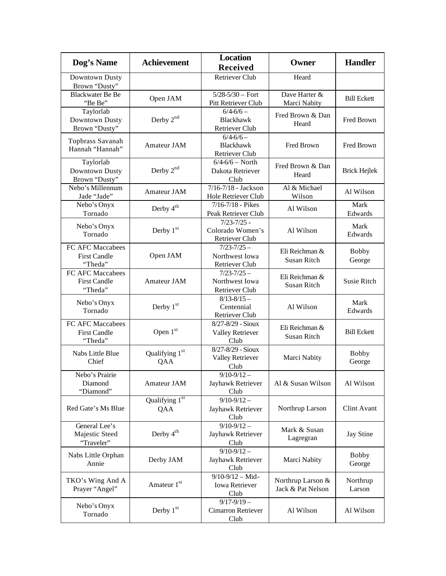| Dog's Name                                         | <b>Achievement</b>                | <b>Location</b><br><b>Received</b>                    | Owner                                  | <b>Handler</b>         |
|----------------------------------------------------|-----------------------------------|-------------------------------------------------------|----------------------------------------|------------------------|
| Downtown Dusty<br>Brown "Dusty"                    |                                   | <b>Retriever Club</b>                                 | Heard                                  |                        |
| <b>Blackwater Be Be</b><br>"Be Be"                 | Open JAM                          | $5/28 - 5/30 -$ Fort<br>Pitt Retriever Club           | Dave Harter &<br>Marci Nabity          | <b>Bill Eckett</b>     |
| Taylorlab<br>Downtown Dusty<br>Brown "Dusty"       | Derby $2^{nd}$                    | $6/4 - 6/6 -$<br>Blackhawk<br><b>Retriever Club</b>   | Fred Brown & Dan<br>Heard              | Fred Brown             |
| Topbrass Savanah<br>Hannah "Hannah"                | Amateur JAM                       | $6/4 - 6/6 -$<br><b>Blackhawk</b><br>Retriever Club   | Fred Brown                             | Fred Brown             |
| Taylorlab<br>Downtown Dusty<br>Brown "Dusty"       | Derby 2nd                         | $6/4 - 6/6 - North$<br>Dakota Retriever<br>Club       | Fred Brown & Dan<br>Heard              | <b>Brick Hejlek</b>    |
| Nebo's Millennum<br>Jade "Jade"                    | Amateur JAM                       | 7/16-7/18 - Jackson<br>Hole Retriever Club            | Al & Michael<br>Wilson                 | Al Wilson              |
| Nebo's Onyx<br>Tornado                             | Derby $4^{\text{th}}$             | $7/16 - 7/18$ - Pikes<br>Peak Retriever Club          | Al Wilson                              | Mark<br>Edwards        |
| Nebo's Onyx<br>Tornado                             | Derby 1st                         | $7/23 - 7/25$ -<br>Colorado Women's<br>Retriever Club | Al Wilson                              | Mark<br>Edwards        |
| FC AFC Maccabees<br><b>First Candle</b><br>"Theda" | Open JAM                          | $7/23 - 7/25 -$<br>Northwest Iowa<br>Retriever Club   | Eli Reichman &<br>Susan Ritch          | <b>Bobby</b><br>George |
| FC AFC Maccabees<br><b>First Candle</b><br>"Theda" | Amateur JAM                       | $7/23 - 7/25 -$<br>Northwest Iowa<br>Retriever Club   | Eli Reichman &<br><b>Susan Ritch</b>   | Susie Ritch            |
| Nebo's Onyx<br>Tornado                             | Derby $1st$                       | $8/13 - 8/15$ -<br>Centennial<br>Retriever Club       | Al Wilson                              | Mark<br>Edwards        |
| FC AFC Maccabees<br><b>First Candle</b><br>"Theda" | Open 1st                          | 8/27-8/29 - Sioux<br><b>Valley Retriever</b><br>Club  | Eli Reichman &<br>Susan Ritch          | <b>Bill Eckett</b>     |
| Nabs Little Blue<br>Chief                          | Qualifying 1 <sup>st</sup><br>QAA | 8/27-8/29 - Sioux<br><b>Valley Retriever</b><br>Club  | Marci Nabity                           | <b>Bobby</b><br>George |
| Nebo's Prairie<br>Diamond<br>"Diamond"             | Amateur JAM                       | $9/10-9/12-$<br>Jayhawk Retriever<br>Club             | Al & Susan Wilson                      | Al Wilson              |
| Red Gate's Ms Blue                                 | Qualifying 1st<br>QAA             | $9/10 - 9/12 -$<br>Jayhawk Retriever<br>Club          | Northrup Larson                        | Clint Avant            |
| General Lee's<br>Majestic Steed<br>"Traveler"      | Derby 4 <sup>th</sup>             | $9/10-9/12-$<br>Jayhawk Retriever<br>Club             | Mark & Susan<br>Lagregran              | <b>Jay Stine</b>       |
| Nabs Little Orphan<br>Annie                        | Derby JAM                         | $9/10-9/12-$<br>Jayhawk Retriever<br>Club             | Marci Nabity                           | <b>Bobby</b><br>George |
| TKO's Wing And A<br>Prayer "Angel"                 | Amateur 1st                       | $9/10-9/12 - Mid-$<br>Iowa Retriever<br>Club          | Northrup Larson &<br>Jack & Pat Nelson | Northrup<br>Larson     |
| Nebo's Onyx<br>Tornado                             | Derby 1st                         | $9/17 - 9/19 -$<br>Cimarron Retriever<br>Club         | Al Wilson                              | Al Wilson              |